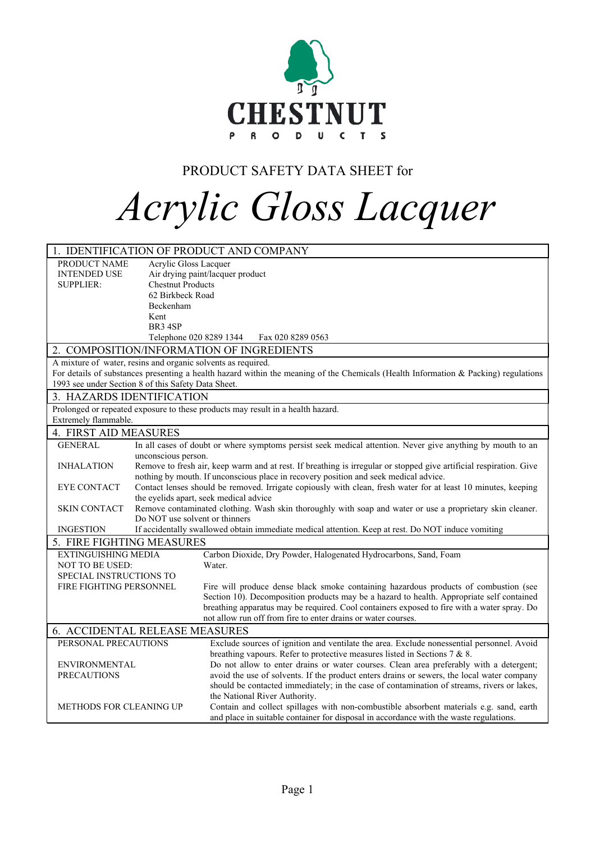

# PRODUCT SAFETY DATA SHEET for

# *Acrylic Gloss Lacquer*

|                                                              |                                                                                                                                             | 1. IDENTIFICATION OF PRODUCT AND COMPANY                                                                                                                                                                   |  |  |
|--------------------------------------------------------------|---------------------------------------------------------------------------------------------------------------------------------------------|------------------------------------------------------------------------------------------------------------------------------------------------------------------------------------------------------------|--|--|
| PRODUCT NAME                                                 | Acrylic Gloss Lacquer                                                                                                                       |                                                                                                                                                                                                            |  |  |
| <b>INTENDED USE</b>                                          |                                                                                                                                             | Air drying paint/lacquer product                                                                                                                                                                           |  |  |
| SUPPLIER:                                                    | <b>Chestnut Products</b>                                                                                                                    |                                                                                                                                                                                                            |  |  |
|                                                              | 62 Birkbeck Road                                                                                                                            |                                                                                                                                                                                                            |  |  |
|                                                              | Beckenham                                                                                                                                   |                                                                                                                                                                                                            |  |  |
|                                                              | Kent                                                                                                                                        |                                                                                                                                                                                                            |  |  |
|                                                              | BR <sub>3</sub> 4SP                                                                                                                         |                                                                                                                                                                                                            |  |  |
|                                                              |                                                                                                                                             | Telephone 020 8289 1344<br>Fax 020 8289 0563                                                                                                                                                               |  |  |
|                                                              |                                                                                                                                             | 2. COMPOSITION/INFORMATION OF INGREDIENTS                                                                                                                                                                  |  |  |
| A mixture of water, resins and organic solvents as required. |                                                                                                                                             |                                                                                                                                                                                                            |  |  |
|                                                              |                                                                                                                                             | For details of substances presenting a health hazard within the meaning of the Chemicals (Health Information & Packing) regulations                                                                        |  |  |
| 1993 see under Section 8 of this Safety Data Sheet.          |                                                                                                                                             |                                                                                                                                                                                                            |  |  |
| 3. HAZARDS IDENTIFICATION                                    |                                                                                                                                             |                                                                                                                                                                                                            |  |  |
|                                                              |                                                                                                                                             | Prolonged or repeated exposure to these products may result in a health hazard.                                                                                                                            |  |  |
| Extremely flammable.                                         |                                                                                                                                             |                                                                                                                                                                                                            |  |  |
| 4. FIRST AID MEASURES                                        |                                                                                                                                             |                                                                                                                                                                                                            |  |  |
| <b>GENERAL</b>                                               |                                                                                                                                             | In all cases of doubt or where symptoms persist seek medical attention. Never give anything by mouth to an                                                                                                 |  |  |
|                                                              | unconscious person.                                                                                                                         |                                                                                                                                                                                                            |  |  |
| <b>INHALATION</b>                                            |                                                                                                                                             | Remove to fresh air, keep warm and at rest. If breathing is irregular or stopped give artificial respiration. Give<br>nothing by mouth. If unconscious place in recovery position and seek medical advice. |  |  |
| <b>EYE CONTACT</b>                                           | Contact lenses should be removed. Irrigate copiously with clean, fresh water for at least 10 minutes, keeping                               |                                                                                                                                                                                                            |  |  |
|                                                              | the eyelids apart, seek medical advice                                                                                                      |                                                                                                                                                                                                            |  |  |
| <b>SKIN CONTACT</b>                                          | Remove contaminated clothing. Wash skin thoroughly with soap and water or use a proprietary skin cleaner.<br>Do NOT use solvent or thinners |                                                                                                                                                                                                            |  |  |
| <b>INGESTION</b>                                             | If accidentally swallowed obtain immediate medical attention. Keep at rest. Do NOT induce vomiting                                          |                                                                                                                                                                                                            |  |  |
| 5. FIRE FIGHTING MEASURES                                    |                                                                                                                                             |                                                                                                                                                                                                            |  |  |
| <b>EXTINGUISHING MEDIA</b>                                   |                                                                                                                                             | Carbon Dioxide, Dry Powder, Halogenated Hydrocarbons, Sand, Foam                                                                                                                                           |  |  |
| <b>NOT TO BE USED:</b>                                       |                                                                                                                                             | Water.                                                                                                                                                                                                     |  |  |
| <b>SPECIAL INSTRUCTIONS TO</b>                               |                                                                                                                                             |                                                                                                                                                                                                            |  |  |
| FIRE FIGHTING PERSONNEL                                      |                                                                                                                                             | Fire will produce dense black smoke containing hazardous products of combustion (see                                                                                                                       |  |  |
|                                                              |                                                                                                                                             | Section 10). Decomposition products may be a hazard to health. Appropriate self contained                                                                                                                  |  |  |
|                                                              |                                                                                                                                             | breathing apparatus may be required. Cool containers exposed to fire with a water spray. Do                                                                                                                |  |  |
|                                                              |                                                                                                                                             | not allow run off from fire to enter drains or water courses.                                                                                                                                              |  |  |
| 6. ACCIDENTAL RELEASE MEASURES                               |                                                                                                                                             |                                                                                                                                                                                                            |  |  |
| PERSONAL PRECAUTIONS                                         |                                                                                                                                             | Exclude sources of ignition and ventilate the area. Exclude nonessential personnel. Avoid                                                                                                                  |  |  |
|                                                              |                                                                                                                                             | breathing vapours. Refer to protective measures listed in Sections 7 & 8.                                                                                                                                  |  |  |
| <b>ENVIRONMENTAL</b>                                         |                                                                                                                                             | Do not allow to enter drains or water courses. Clean area preferably with a detergent;                                                                                                                     |  |  |
| <b>PRECAUTIONS</b>                                           |                                                                                                                                             | avoid the use of solvents. If the product enters drains or sewers, the local water company                                                                                                                 |  |  |
|                                                              |                                                                                                                                             | should be contacted immediately; in the case of contamination of streams, rivers or lakes,                                                                                                                 |  |  |
|                                                              |                                                                                                                                             | the National River Authority.                                                                                                                                                                              |  |  |
| <b>METHODS FOR CLEANING UP</b>                               |                                                                                                                                             | Contain and collect spillages with non-combustible absorbent materials e.g. sand, earth                                                                                                                    |  |  |
|                                                              |                                                                                                                                             | and place in suitable container for disposal in accordance with the waste regulations.                                                                                                                     |  |  |
|                                                              |                                                                                                                                             |                                                                                                                                                                                                            |  |  |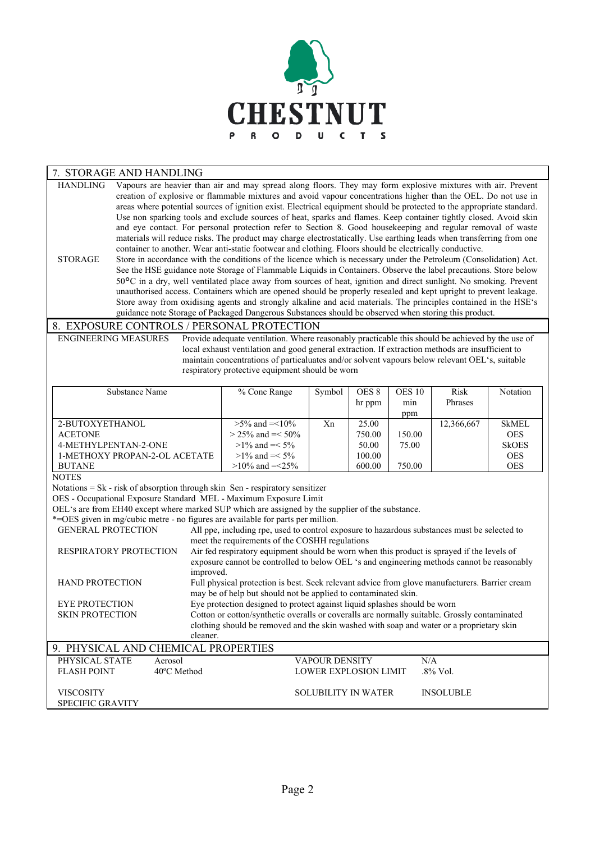

#### STORAGE AND HANDLING

Vapours are heavier than air and may spread along floors. They may form explosive mixtures with air. Prevent creation of explosive or flammable mixtures and avoid vapour concentrations higher than the OEL. Do not use in areas where potential sources of ignition exist. Electrical equipment should be protected to the appropriate standard. Use non sparking tools and exclude sources of heat, sparks and flames. Keep container tightly closed. Avoid skin and eye contact. For personal protection refer to Section 8. Good housekeeping and regular removal of waste materials will reduce risks. The product may charge electrostatically. Use earthing leads when transferring from one container to another. Wear anti-static footwear and clothing. Floors should be electrically conductive. HANDLING

Store in accordance with the conditions of the licence which is necessary under the Petroleum (Consolidation) Act. See the HSE guidance note Storage of Flammable Liquids in Containers. Observe the label precautions. Store below 50°C in a dry, well ventilated place away from sources of heat, ignition and direct sunlight. No smoking. Prevent unauthorised access. Containers which are opened should be properly resealed and kept upright to prevent leakage. Store away from oxidising agents and strongly alkaline and acid materials. The principles contained in the HSE's guidance note Storage of Packaged Dangerous Substances should be observed when storing this product. **STORAGE** 

#### 8. EXPOSURE CONTROLS / PERSONAL PROTECTION

ENGINEERING MEASURES

Provide adequate ventilation. Where reasonably practicable this should be achieved by the use of local exhaust ventilation and good general extraction. If extraction methods are insufficient to maintain concentrations of particaluates and/or solvent vapours below relevant OEL's, suitable respiratory protective equipment should be worn

| Substance Name                | % Conc Range         | Symbol | OES <sub>8</sub> | OES 10 | Risk       | <b>Notation</b> |
|-------------------------------|----------------------|--------|------------------|--------|------------|-----------------|
|                               |                      |        | hr ppm           | mın    | Phrases    |                 |
|                               |                      |        |                  | ppm    |            |                 |
| 2-BUTOXYETHANOL               | $>5\%$ and $=<10\%$  | Xn     | 25.00            |        | 12,366,667 | <b>SkMEL</b>    |
| <b>ACETONE</b>                | $>$ 25% and = < 50%  |        | 750.00           | 150.00 |            | <b>OES</b>      |
| 4-METHYLPENTAN-2-ONE          | $>1\%$ and $=<5\%$   |        | 50.00            | 75.00  |            | <b>SkOES</b>    |
| 1-METHOXY PROPAN-2-OL ACETATE | $>1\%$ and $=<5\%$   |        | 100.00           |        |            | <b>OES</b>      |
| <b>BUTANE</b>                 | $>10\%$ and $=<25\%$ |        | 600.00           | 750.00 |            | <b>OES</b>      |

**NOTES** 

Notations = Sk - risk of absorption through skin Sen - respiratory sensitizer

OES - Occupational Exposure Standard MEL - Maximum Exposure Limit

OEL's are from EH40 except where marked SUP which are assigned by the supplier of the substance.

| *= OES given in mg/cubic metre - no figures are available for parts per million. |             |                                                                                                |                  |  |  |
|----------------------------------------------------------------------------------|-------------|------------------------------------------------------------------------------------------------|------------------|--|--|
| <b>GENERAL PROTECTION</b>                                                        |             | All ppe, including rpe, used to control exposure to hazardous substances must be selected to   |                  |  |  |
|                                                                                  |             | meet the requirements of the COSHH regulations                                                 |                  |  |  |
| <b>RESPIRATORY PROTECTION</b>                                                    |             | Air fed respiratory equipment should be worn when this product is sprayed if the levels of     |                  |  |  |
|                                                                                  |             | exposure cannot be controlled to below OEL 's and engineering methods cannot be reasonably     |                  |  |  |
|                                                                                  | improved.   |                                                                                                |                  |  |  |
| <b>HAND PROTECTION</b>                                                           |             | Full physical protection is best. Seek relevant advice from glove manufacturers. Barrier cream |                  |  |  |
|                                                                                  |             | may be of help but should not be applied to contaminated skin.                                 |                  |  |  |
| <b>EYE PROTECTION</b>                                                            |             | Eye protection designed to protect against liquid splashes should be worn                      |                  |  |  |
| <b>SKIN PROTECTION</b>                                                           |             | Cotton or cotton/synthetic overalls or coveralls are normally suitable. Grossly contaminated   |                  |  |  |
|                                                                                  |             | clothing should be removed and the skin washed with soap and water or a proprietary skin       |                  |  |  |
|                                                                                  | cleaner.    |                                                                                                |                  |  |  |
| 9. PHYSICAL AND CHEMICAL PROPERTIES                                              |             |                                                                                                |                  |  |  |
| PHYSICAL STATE                                                                   | Aerosol     | <b>VAPOUR DENSITY</b>                                                                          | N/A              |  |  |
| <b>FLASH POINT</b>                                                               | 40°C Method | <b>LOWER EXPLOSION LIMIT</b>                                                                   | $.8\%$ Vol.      |  |  |
|                                                                                  |             |                                                                                                |                  |  |  |
| <b>VISCOSITY</b>                                                                 |             | <b>SOLUBILITY IN WATER</b>                                                                     | <b>INSOLUBLE</b> |  |  |
| <b>SPECIFIC GRAVITY</b>                                                          |             |                                                                                                |                  |  |  |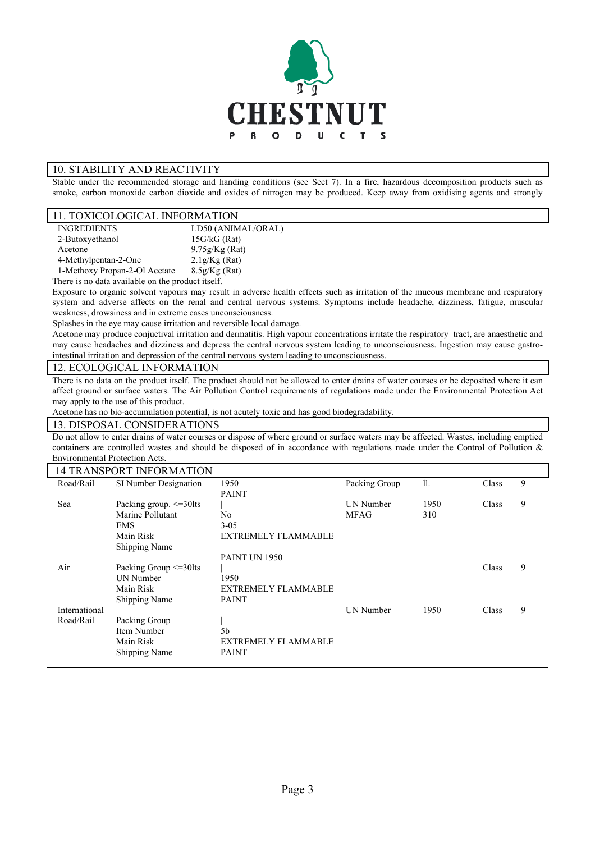

# 10. STABILITY AND REACTIVITY

Stable under the recommended storage and handing conditions (see Sect 7). In a fire, hazardous decomposition products such as smoke, carbon monoxide carbon dioxide and oxides of nitrogen may be produced. Keep away from oxidising agents and strongly

## 11. TOXICOLOGICAL INFORMATION

| 11. 1911100200101121111010111111011 |                    |
|-------------------------------------|--------------------|
| <b>INGREDIENTS</b>                  | LD50 (ANIMAL/ORAL) |
| 2-Butoxyethanol                     | $15G/kG$ (Rat)     |
| Acetone                             | $9.75g/Kg$ (Rat)   |
| 4-Methylpentan-2-One                | 2.1g/Kg(Rat)       |
| 1-Methoxy Propan-2-Ol Acetate       | 8.5g/Kg(Rat)       |

There is no data available on the product itself.

Exposure to organic solvent vapours may result in adverse health effects such as irritation of the mucous membrane and respiratory system and adverse affects on the renal and central nervous systems. Symptoms include headache, dizziness, fatigue, muscular weakness, drowsiness and in extreme cases unconsciousness.

Splashes in the eye may cause irritation and reversible local damage.

Acetone may produce conjuctival irritation and dermatitis. High vapour concentrations irritate the respiratory tract, are anaesthetic and may cause headaches and dizziness and depress the central nervous system leading to unconsciousness. Ingestion may cause gastrointestinal irritation and depression of the central nervous system leading to unconsciousness.

#### 12. ECOLOGICAL INFORMATION

There is no data on the product itself. The product should not be allowed to enter drains of water courses or be deposited where it can affect ground or surface waters. The Air Pollution Control requirements of regulations made under the Environmental Protection Act may apply to the use of this product.

Acetone has no bio-accumulation potential, is not acutely toxic and has good biodegradability.

## 13. DISPOSAL CONSIDERATIONS

Do not allow to enter drains of water courses or dispose of where ground or surface waters may be affected. Wastes, including emptied containers are controlled wastes and should be disposed of in accordance with regulations made under the Control of Pollution & Environmental Protection Acts.

#### 14 TRANSPORT INFORMATION

|               | 14 IKANSPUKI INFUKMATION     |                            |               |      |       |   |
|---------------|------------------------------|----------------------------|---------------|------|-------|---|
| Road/Rail     | SI Number Designation        | 1950                       | Packing Group | 11.  | Class | 9 |
|               |                              | <b>PAINT</b>               |               |      |       |   |
| Sea           | Packing group. $\leq$ =30lts |                            | UN Number     | 1950 | Class | 9 |
|               | Marine Pollutant             | No                         | <b>MFAG</b>   | 310  |       |   |
|               | EMS.                         | $3 - 05$                   |               |      |       |   |
|               | Main Risk                    | <b>EXTREMELY FLAMMABLE</b> |               |      |       |   |
|               | <b>Shipping Name</b>         |                            |               |      |       |   |
|               |                              | PAINT UN 1950              |               |      |       |   |
| Air           | Packing Group <= 30lts       |                            |               |      | Class | 9 |
|               | UN Number                    | 1950                       |               |      |       |   |
|               | Main Risk                    | <b>EXTREMELY FLAMMABLE</b> |               |      |       |   |
|               | <b>Shipping Name</b>         | <b>PAINT</b>               |               |      |       |   |
| International |                              |                            | UN Number     | 1950 | Class | 9 |
| Road/Rail     | Packing Group                | II                         |               |      |       |   |
|               | Item Number                  | 5 <sub>b</sub>             |               |      |       |   |
|               | Main Risk                    | <b>EXTREMELY FLAMMABLE</b> |               |      |       |   |
|               | <b>Shipping Name</b>         | <b>PAINT</b>               |               |      |       |   |
|               |                              |                            |               |      |       |   |